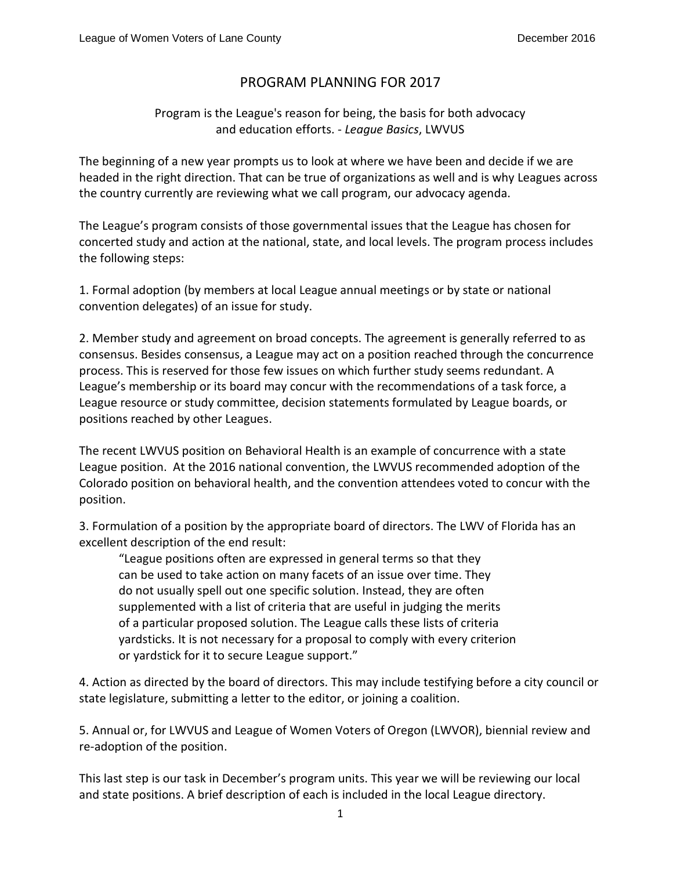## PROGRAM PLANNING FOR 2017

## Program is the League's reason for being, the basis for both advocacy and education efforts. - *League Basics*, LWVUS

The beginning of a new year prompts us to look at where we have been and decide if we are headed in the right direction. That can be true of organizations as well and is why Leagues across the country currently are reviewing what we call program, our advocacy agenda.

The League's program consists of those governmental issues that the League has chosen for concerted study and action at the national, state, and local levels. The program process includes the following steps:

1. Formal adoption (by members at local League annual meetings or by state or national convention delegates) of an issue for study.

2. Member study and agreement on broad concepts. The agreement is generally referred to as consensus. Besides consensus, a League may act on a position reached through the concurrence process. This is reserved for those few issues on which further study seems redundant. A League's membership or its board may concur with the recommendations of a task force, a League resource or study committee, decision statements formulated by League boards, or positions reached by other Leagues.

The recent LWVUS position on Behavioral Health is an example of concurrence with a state League position. At the 2016 national convention, the LWVUS recommended adoption of the Colorado position on behavioral health, and the convention attendees voted to concur with the position.

3. Formulation of a position by the appropriate board of directors. The LWV of Florida has an excellent description of the end result:

"League positions often are expressed in general terms so that they can be used to take action on many facets of an issue over time. They do not usually spell out one specific solution. Instead, they are often supplemented with a list of criteria that are useful in judging the merits of a particular proposed solution. The League calls these lists of criteria yardsticks. It is not necessary for a proposal to comply with every criterion or yardstick for it to secure League support."

4. Action as directed by the board of directors. This may include testifying before a city council or state legislature, submitting a letter to the editor, or joining a coalition.

5. Annual or, for LWVUS and League of Women Voters of Oregon (LWVOR), biennial review and re-adoption of the position.

This last step is our task in December's program units. This year we will be reviewing our local and state positions. A brief description of each is included in the local League directory.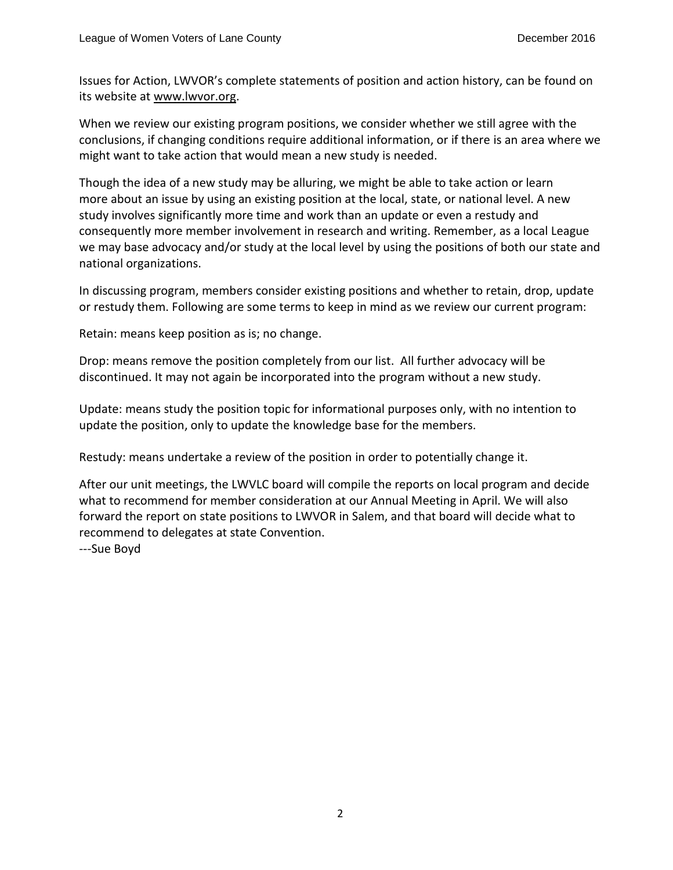Issues for Action, LWVOR's complete statements of position and action history, can be found on its website at [www.lwvor.org.](http://www.lwvor.org/)

When we review our existing program positions, we consider whether we still agree with the conclusions, if changing conditions require additional information, or if there is an area where we might want to take action that would mean a new study is needed.

Though the idea of a new study may be alluring, we might be able to take action or learn more about an issue by using an existing position at the local, state, or national level. A new study involves significantly more time and work than an update or even a restudy and consequently more member involvement in research and writing. Remember, as a local League we may base advocacy and/or study at the local level by using the positions of both our state and national organizations.

In discussing program, members consider existing positions and whether to retain, drop, update or restudy them. Following are some terms to keep in mind as we review our current program:

Retain: means keep position as is; no change.

Drop: means remove the position completely from our list. All further advocacy will be discontinued. It may not again be incorporated into the program without a new study.

Update: means study the position topic for informational purposes only, with no intention to update the position, only to update the knowledge base for the members.

Restudy: means undertake a review of the position in order to potentially change it.

After our unit meetings, the LWVLC board will compile the reports on local program and decide what to recommend for member consideration at our Annual Meeting in April. We will also forward the report on state positions to LWVOR in Salem, and that board will decide what to recommend to delegates at state Convention.

---Sue Boyd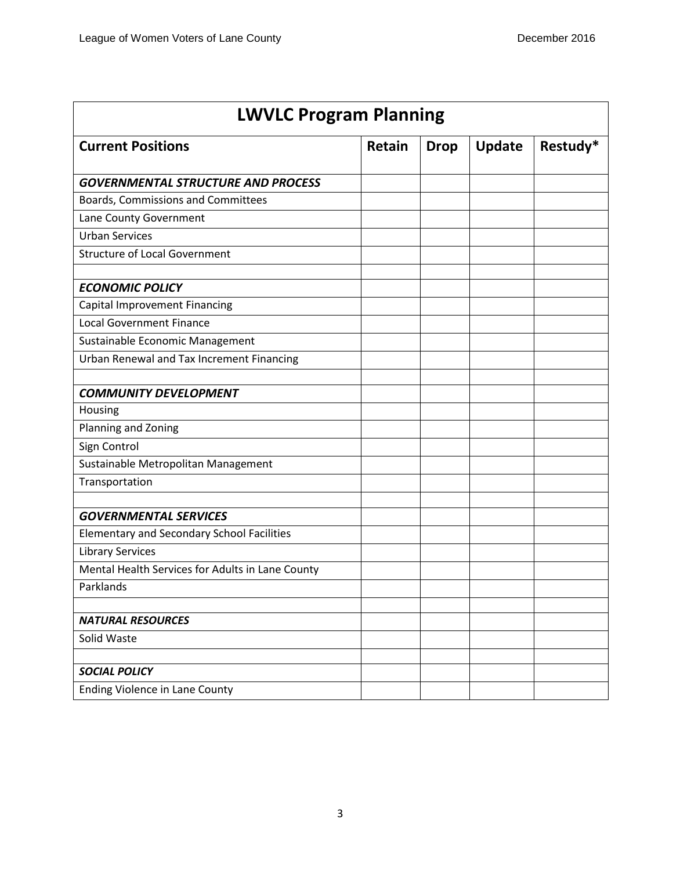| <b>LWVLC Program Planning</b>                     |               |             |               |          |  |
|---------------------------------------------------|---------------|-------------|---------------|----------|--|
| <b>Current Positions</b>                          | <b>Retain</b> | <b>Drop</b> | <b>Update</b> | Restudy* |  |
| <b>GOVERNMENTAL STRUCTURE AND PROCESS</b>         |               |             |               |          |  |
| Boards, Commissions and Committees                |               |             |               |          |  |
| Lane County Government                            |               |             |               |          |  |
| <b>Urban Services</b>                             |               |             |               |          |  |
| <b>Structure of Local Government</b>              |               |             |               |          |  |
| <b>ECONOMIC POLICY</b>                            |               |             |               |          |  |
| Capital Improvement Financing                     |               |             |               |          |  |
| <b>Local Government Finance</b>                   |               |             |               |          |  |
| Sustainable Economic Management                   |               |             |               |          |  |
| Urban Renewal and Tax Increment Financing         |               |             |               |          |  |
| <b>COMMUNITY DEVELOPMENT</b>                      |               |             |               |          |  |
| Housing                                           |               |             |               |          |  |
| Planning and Zoning                               |               |             |               |          |  |
| Sign Control                                      |               |             |               |          |  |
| Sustainable Metropolitan Management               |               |             |               |          |  |
| Transportation                                    |               |             |               |          |  |
|                                                   |               |             |               |          |  |
| <b>GOVERNMENTAL SERVICES</b>                      |               |             |               |          |  |
| <b>Elementary and Secondary School Facilities</b> |               |             |               |          |  |
| <b>Library Services</b>                           |               |             |               |          |  |
| Mental Health Services for Adults in Lane County  |               |             |               |          |  |
| Parklands                                         |               |             |               |          |  |
|                                                   |               |             |               |          |  |
| <b>NATURAL RESOURCES</b>                          |               |             |               |          |  |
| Solid Waste                                       |               |             |               |          |  |
|                                                   |               |             |               |          |  |
| <b>SOCIAL POLICY</b>                              |               |             |               |          |  |
| Ending Violence in Lane County                    |               |             |               |          |  |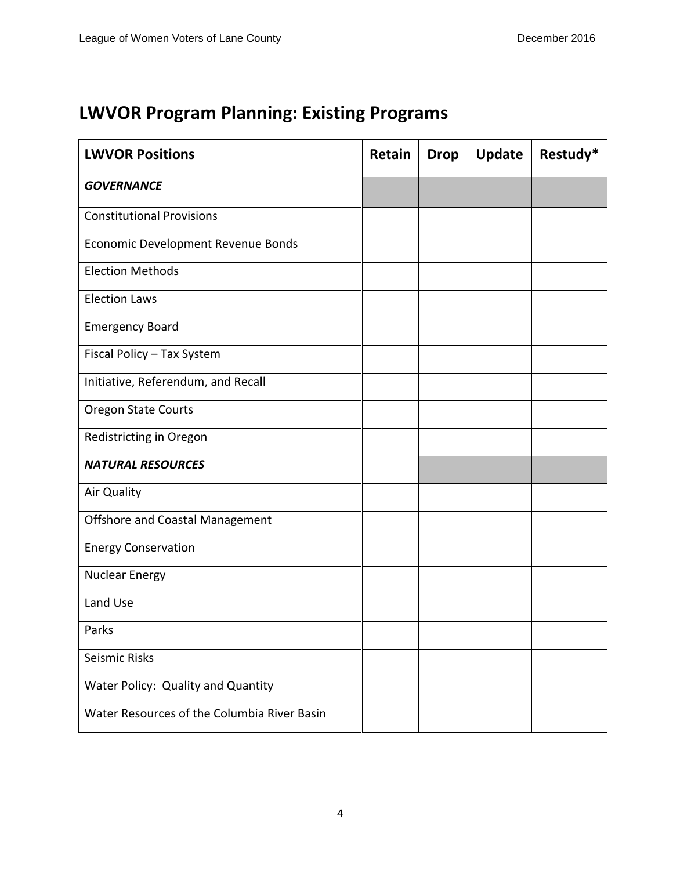## **LWVOR Program Planning: Existing Programs**

| <b>LWVOR Positions</b>                      | Retain | <b>Drop</b> | Update | Restudy* |
|---------------------------------------------|--------|-------------|--------|----------|
| <b>GOVERNANCE</b>                           |        |             |        |          |
| <b>Constitutional Provisions</b>            |        |             |        |          |
| Economic Development Revenue Bonds          |        |             |        |          |
| <b>Election Methods</b>                     |        |             |        |          |
| <b>Election Laws</b>                        |        |             |        |          |
| <b>Emergency Board</b>                      |        |             |        |          |
| Fiscal Policy - Tax System                  |        |             |        |          |
| Initiative, Referendum, and Recall          |        |             |        |          |
| <b>Oregon State Courts</b>                  |        |             |        |          |
| Redistricting in Oregon                     |        |             |        |          |
| <b>NATURAL RESOURCES</b>                    |        |             |        |          |
| <b>Air Quality</b>                          |        |             |        |          |
| <b>Offshore and Coastal Management</b>      |        |             |        |          |
| <b>Energy Conservation</b>                  |        |             |        |          |
| <b>Nuclear Energy</b>                       |        |             |        |          |
| Land Use                                    |        |             |        |          |
| Parks                                       |        |             |        |          |
| Seismic Risks                               |        |             |        |          |
| Water Policy: Quality and Quantity          |        |             |        |          |
| Water Resources of the Columbia River Basin |        |             |        |          |